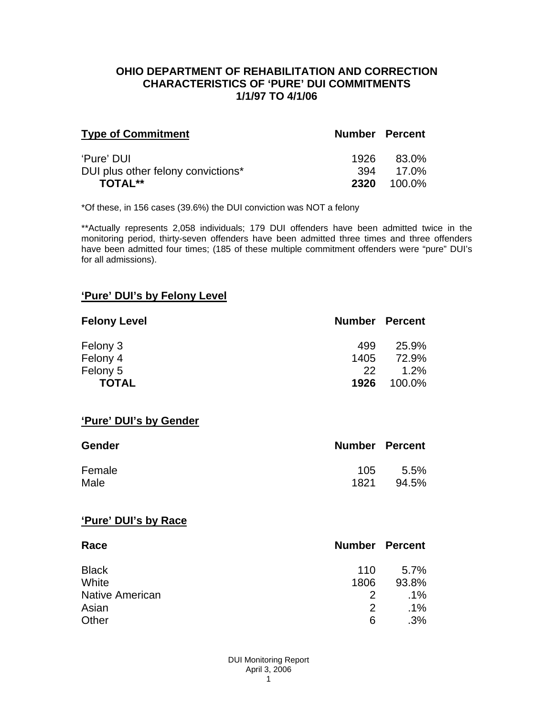### **OHIO DEPARTMENT OF REHABILITATION AND CORRECTION CHARACTERISTICS OF 'PURE' DUI COMMITMENTS 1/1/97 TO 4/1/06**

| <b>Type of Commitment</b>          | <b>Number Percent</b> |           |
|------------------------------------|-----------------------|-----------|
| 'Pure' DUI                         | 1926                  | 83.0%     |
| DUI plus other felony convictions* |                       | 394 17.0% |
| <b>TOTAL**</b>                     | 2320                  | 100.0%    |

\*Of these, in 156 cases (39.6%) the DUI conviction was NOT a felony

\*\*Actually represents 2,058 individuals; 179 DUI offenders have been admitted twice in the monitoring period, thirty-seven offenders have been admitted three times and three offenders have been admitted four times; (185 of these multiple commitment offenders were "pure" DUI's for all admissions).

## **'Pure' DUI's by Felony Level**

| <b>Felony Level</b> | <b>Number Percent</b> |         |
|---------------------|-----------------------|---------|
| Felony 3            | 499                   | 25.9%   |
| Felony 4            | 1405                  | 72.9%   |
| Felony 5            | 22                    | $1.2\%$ |
| <b>TOTAL</b>        | 1926                  | 100.0%  |

#### **'Pure' DUI's by Gender**

| Gender | <b>Number Percent</b> |         |
|--------|-----------------------|---------|
| Female | 105                   | $5.5\%$ |
| Male   | 1821                  | 94.5%   |

#### **'Pure' DUI's by Race**

| Race                   | <b>Number Percent</b> |         |
|------------------------|-----------------------|---------|
| <b>Black</b>           | 110                   | $5.7\%$ |
| White                  | 1806                  | 93.8%   |
| <b>Native American</b> | 2                     | $.1\%$  |
| Asian                  | 2                     | $.1\%$  |
| Other                  | 6                     | .3%     |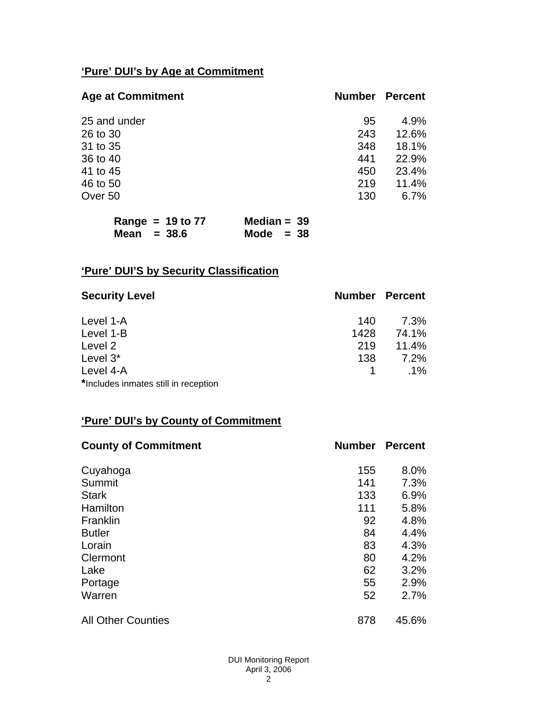# **'Pure' DUI's by Age at Commitment**

| <b>Age at Commitment</b> | <b>Number</b> | <b>Percent</b> |
|--------------------------|---------------|----------------|
| 25 and under             | 95            | 4.9%           |
| 26 to 30                 | 243           | 12.6%          |
| 31 to 35                 | 348           | 18.1%          |
| 36 to 40                 | 441           | 22.9%          |
| 41 to 45                 | 450           | 23.4%          |
| 46 to 50                 | 219           | 11.4%          |
| Over 50                  | 130           | 6.7%           |
|                          |               |                |

|               | Range = $19$ to $77$ | Median = $39$ |  |
|---------------|----------------------|---------------|--|
| Mean $=$ 38.6 |                      | Mode $= 38$   |  |

# **'Pure' DUI'S by Security Classification**

| <b>Security Level</b>                | <b>Number Percent</b> |        |
|--------------------------------------|-----------------------|--------|
| Level 1-A                            | 140                   | 7.3%   |
| Level 1-B                            | 1428                  | 74.1%  |
| Level 2                              | 219                   | 11.4%  |
| Level 3*                             | 138                   | 7.2%   |
| Level 4-A                            |                       | $.1\%$ |
| *Includes inmates still in reception |                       |        |

# **'Pure' DUI's by County of Commitment**

| <b>County of Commitment</b> | <b>Number</b> | <b>Percent</b> |
|-----------------------------|---------------|----------------|
| Cuyahoga                    | 155           | 8.0%           |
| Summit                      | 141           | 7.3%           |
| <b>Stark</b>                | 133           | 6.9%           |
| Hamilton                    | 111           | 5.8%           |
| Franklin                    | 92            | 4.8%           |
| <b>Butler</b>               | 84            | 4.4%           |
| Lorain                      | 83            | 4.3%           |
| Clermont                    | 80            | 4.2%           |
| Lake                        | 62            | 3.2%           |
| Portage                     | 55            | 2.9%           |
| Warren                      | 52            | 2.7%           |
| <b>All Other Counties</b>   | 878           | 45.6%          |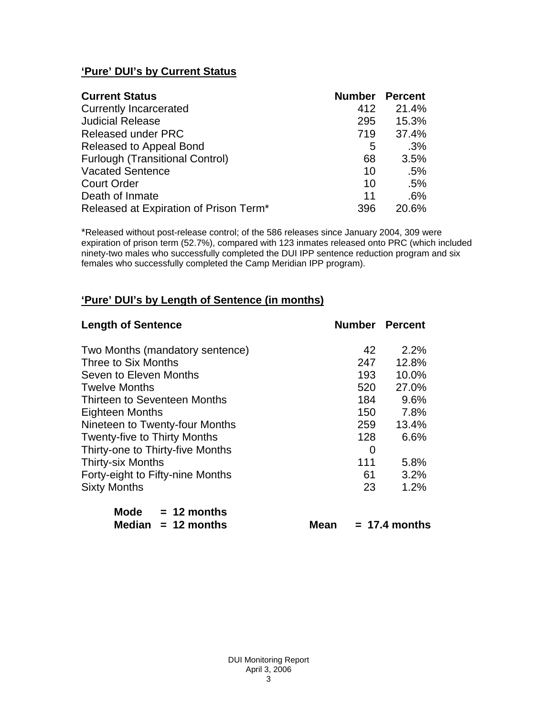# **'Pure' DUI's by Current Status**

| <b>Current Status</b>                  | <b>Number Percent</b> |       |
|----------------------------------------|-----------------------|-------|
| <b>Currently Incarcerated</b>          | 412                   | 21.4% |
| <b>Judicial Release</b>                | 295                   | 15.3% |
| <b>Released under PRC</b>              | 719                   | 37.4% |
| Released to Appeal Bond                | 5                     | .3%   |
| <b>Furlough (Transitional Control)</b> | 68                    | 3.5%  |
| <b>Vacated Sentence</b>                | 10                    | .5%   |
| <b>Court Order</b>                     | 10                    | .5%   |
| Death of Inmate                        | 11                    | .6%   |
| Released at Expiration of Prison Term* | 396                   | 20.6% |

\*Released without post-release control; of the 586 releases since January 2004, 309 were expiration of prison term (52.7%), compared with 123 inmates released onto PRC (which included ninety-two males who successfully completed the DUI IPP sentence reduction program and six females who successfully completed the Camp Meridian IPP program).

# **'Pure' DUI's by Length of Sentence (in months)**

| <b>Length of Sentence</b>           | <b>Number Percent</b> |         |
|-------------------------------------|-----------------------|---------|
| Two Months (mandatory sentence)     | 42                    | $2.2\%$ |
| Three to Six Months                 | 247                   | 12.8%   |
| Seven to Eleven Months              | 193                   | 10.0%   |
| <b>Twelve Months</b>                | 520                   | 27.0%   |
| Thirteen to Seventeen Months        | 184                   | 9.6%    |
| <b>Eighteen Months</b>              | 150                   | 7.8%    |
| Nineteen to Twenty-four Months      | 259                   | 13.4%   |
| <b>Twenty-five to Thirty Months</b> | 128                   | 6.6%    |
| Thirty-one to Thirty-five Months    | 0                     |         |
| <b>Thirty-six Months</b>            | 111                   | 5.8%    |
| Forty-eight to Fifty-nine Months    | 61                    | 3.2%    |
| <b>Sixty Months</b>                 | 23                    | 1.2%    |

| Mode | $= 12$ months        |
|------|----------------------|
|      | Median $= 12$ months |

 $Mean = 17.4 months$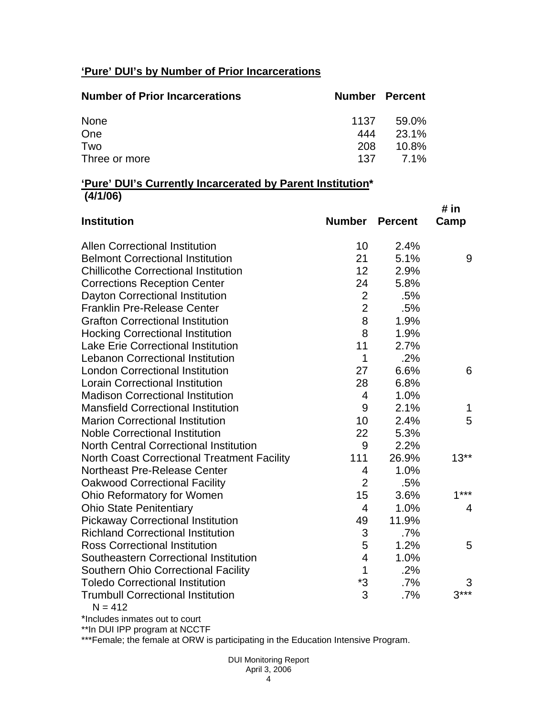# **'Pure' DUI's by Number of Prior Incarcerations**

| <b>Number of Prior Incarcerations</b> | <b>Number Percent</b> |       |
|---------------------------------------|-----------------------|-------|
| None                                  | 1137                  | 59.0% |
| One                                   | 444                   | 23.1% |
| Two                                   | 208                   | 10.8% |
| Three or more                         | 137                   | 7.1%  |

### **'Pure' DUI's Currently Incarcerated by Parent Institution\* (4/1/06)**

| <b>Institution</b>                                  | Number                  | <b>Percent</b> | # in<br>Camp |
|-----------------------------------------------------|-------------------------|----------------|--------------|
| <b>Allen Correctional Institution</b>               | 10                      | 2.4%           |              |
| <b>Belmont Correctional Institution</b>             | 21                      | 5.1%           | 9            |
| <b>Chillicothe Correctional Institution</b>         | 12                      | 2.9%           |              |
| <b>Corrections Reception Center</b>                 | 24                      | 5.8%           |              |
| <b>Dayton Correctional Institution</b>              | $\overline{2}$          | .5%            |              |
| <b>Franklin Pre-Release Center</b>                  | $\overline{2}$          | .5%            |              |
| <b>Grafton Correctional Institution</b>             | 8                       | 1.9%           |              |
| <b>Hocking Correctional Institution</b>             | 8                       | 1.9%           |              |
| <b>Lake Erie Correctional Institution</b>           | 11                      | 2.7%           |              |
| <b>Lebanon Correctional Institution</b>             | 1                       | .2%            |              |
| <b>London Correctional Institution</b>              | 27                      | 6.6%           | 6            |
| <b>Lorain Correctional Institution</b>              | 28                      | 6.8%           |              |
| <b>Madison Correctional Institution</b>             | $\overline{4}$          | 1.0%           |              |
| <b>Mansfield Correctional Institution</b>           | 9                       | 2.1%           | 1            |
| <b>Marion Correctional Institution</b>              | 10                      | 2.4%           | 5            |
| <b>Noble Correctional Institution</b>               | 22                      | 5.3%           |              |
| <b>North Central Correctional Institution</b>       | 9                       | 2.2%           |              |
| <b>North Coast Correctional Treatment Facility</b>  | 111                     | 26.9%          | $13**$       |
| <b>Northeast Pre-Release Center</b>                 | 4                       | 1.0%           |              |
| <b>Oakwood Correctional Facility</b>                | $\overline{2}$          | .5%            |              |
| Ohio Reformatory for Women                          | 15                      | 3.6%           | $1***$       |
| <b>Ohio State Penitentiary</b>                      | $\overline{4}$          | 1.0%           | 4            |
| <b>Pickaway Correctional Institution</b>            | 49                      | 11.9%          |              |
| <b>Richland Correctional Institution</b>            | 3                       | $.7\%$         |              |
| <b>Ross Correctional Institution</b>                | 5                       | 1.2%           | 5            |
| Southeastern Correctional Institution               | $\overline{\mathbf{4}}$ | 1.0%           |              |
| <b>Southern Ohio Correctional Facility</b>          | $\mathbf{1}$            | .2%            |              |
| <b>Toledo Correctional Institution</b>              | *3                      | .7%            | 3            |
| <b>Trumbull Correctional Institution</b><br>N – 412 | 3                       | .7%            | $3***$       |

 $N = 412$ 

\*Includes inmates out to court

\*\*In DUI IPP program at NCCTF

\*\*\*Female; the female at ORW is participating in the Education Intensive Program.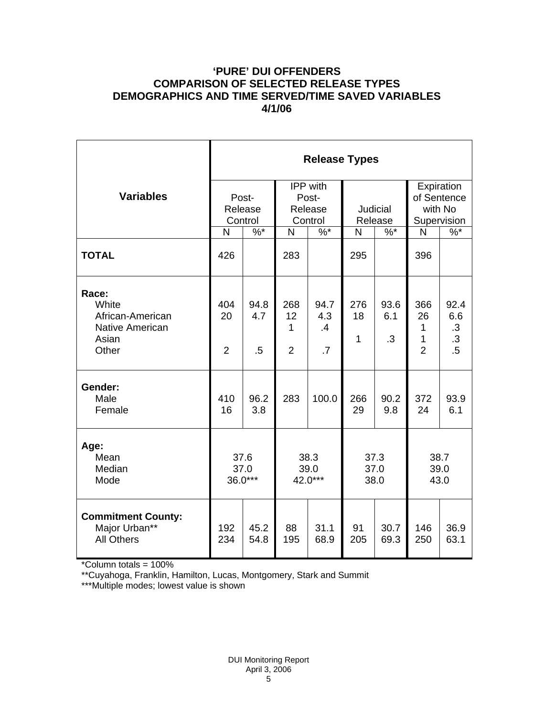## **'PURE' DUI OFFENDERS COMPARISON OF SELECTED RELEASE TYPES DEMOGRAPHICS AND TIME SERVED/TIME SAVED VARIABLES 4/1/06**

|                                                                         | <b>Release Types</b>        |                       |                                                |                                                        |                           |                          |                                                     |                                                       |
|-------------------------------------------------------------------------|-----------------------------|-----------------------|------------------------------------------------|--------------------------------------------------------|---------------------------|--------------------------|-----------------------------------------------------|-------------------------------------------------------|
| <b>Variables</b>                                                        | Post-<br>Release<br>Control |                       | <b>IPP</b> with<br>Post-<br>Release<br>Control |                                                        | Judicial<br>Release       |                          | Expiration<br>of Sentence<br>with No<br>Supervision |                                                       |
|                                                                         | N                           | $\%$ *                | N                                              | $\%$ *                                                 | N                         | $\%$ *                   | N                                                   | $\%$                                                  |
| <b>TOTAL</b>                                                            | 426                         |                       | 283                                            |                                                        | 295                       |                          | 396                                                 |                                                       |
| Race:<br>White<br>African-American<br>Native American<br>Asian<br>Other | 404<br>20<br>$\overline{2}$ | 94.8<br>4.7<br>$.5\,$ | 268<br>12<br>1<br>$\overline{2}$               | 94.7<br>4.3<br>$\boldsymbol{\mathcal{A}}$<br>$\cdot$ 7 | 276<br>18<br>$\mathbf{1}$ | 93.6<br>6.1<br>$\cdot$ 3 | 366<br>26<br>1<br>1<br>$\overline{2}$               | 92.4<br>6.6<br>$\cdot$ 3<br>$\cdot$<br>$\overline{5}$ |
| Gender:<br>Male<br>Female                                               | 410<br>16                   | 96.2<br>3.8           | 283                                            | 100.0                                                  | 266<br>29                 | 90.2<br>9.8              | 372<br>24                                           | 93.9<br>6.1                                           |
| Age:<br>Mean<br>Median<br>Mode                                          | 37.6<br>37.0<br>36.0***     |                       | 38.3<br>39.0<br>42.0***                        |                                                        | 37.3<br>37.0<br>38.0      |                          | 38.7<br>39.0<br>43.0                                |                                                       |
| <b>Commitment County:</b><br>Major Urban**<br><b>All Others</b>         | 192<br>234                  | 45.2<br>54.8          | 88<br>195                                      | 31.1<br>68.9                                           | 91<br>205                 | 30.7<br>69.3             | 146<br>250                                          | 36.9<br>63.1                                          |

\*Column totals = 100%

\*\*Cuyahoga, Franklin, Hamilton, Lucas, Montgomery, Stark and Summit

\*\*\*Multiple modes; lowest value is shown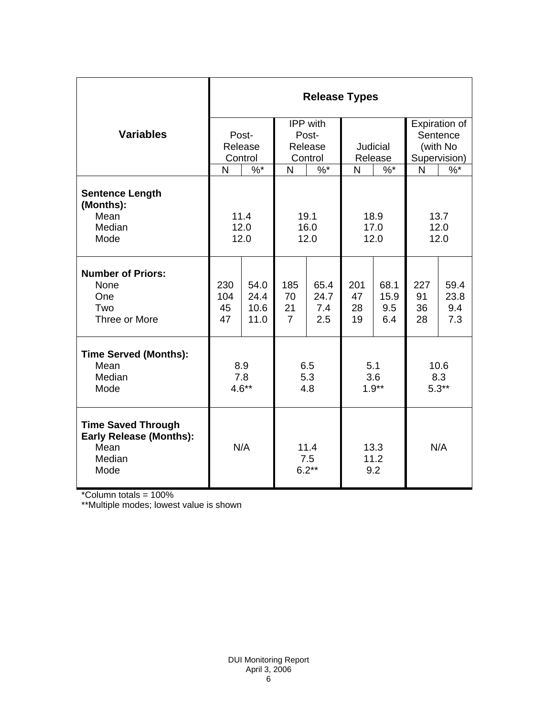|                                                                                       | <b>Release Types</b> |              |                        |            |                     |            |              |               |
|---------------------------------------------------------------------------------------|----------------------|--------------|------------------------|------------|---------------------|------------|--------------|---------------|
|                                                                                       |                      |              |                        | IPP with   |                     |            |              | Expiration of |
| <b>Variables</b>                                                                      |                      | Post-        | Post-                  |            |                     |            | Sentence     |               |
|                                                                                       |                      | Release      | Release                |            | Judicial            |            | (with No     |               |
|                                                                                       | Control              |              | Control                |            | Release             |            | Supervision) |               |
|                                                                                       | N                    | $\%$ *       | N                      | $\%$ *     | N                   | $\%$ *     | N            | $\%$          |
| <b>Sentence Length</b><br>(Months):                                                   |                      |              |                        |            |                     |            |              |               |
| Mean                                                                                  | 11.4                 |              | 19.1                   |            | 18.9                |            | 13.7         |               |
| Median                                                                                |                      | 12.0         | 16.0                   |            | 17.0                |            | 12.0         |               |
| Mode                                                                                  | 12.0                 |              | 12.0                   |            | 12.0                |            | 12.0         |               |
| <b>Number of Priors:</b>                                                              |                      |              |                        |            |                     |            |              |               |
| None                                                                                  | 230                  | 54.0         | 185                    | 65.4       | 201                 | 68.1       | 227          | 59.4          |
| One                                                                                   | 104                  | 24.4         | 70                     | 24.7       | 47                  | 15.9       | 91           | 23.8          |
| Two<br>Three or More                                                                  | 45<br>47             | 10.6<br>11.0 | 21<br>$\overline{7}$   | 7.4<br>2.5 | 28<br>19            | 9.5<br>6.4 | 36<br>28     | 9.4<br>7.3    |
|                                                                                       |                      |              |                        |            |                     |            |              |               |
| <b>Time Served (Months):</b>                                                          |                      |              |                        |            |                     |            |              |               |
| Mean                                                                                  | 8.9                  |              | 6.5                    |            | 5.1                 |            | 10.6         |               |
| Median                                                                                | 7.8                  |              | 5.3                    |            | 3.6                 |            | 8.3          |               |
| Mode                                                                                  |                      | $4.6**$      | 4.8                    |            | $1.9**$             |            | $5.3**$      |               |
| <b>Time Saved Through</b><br><b>Early Release (Months):</b><br>Mean<br>Median<br>Mode | N/A                  |              | 11.4<br>7.5<br>$6.2**$ |            | 13.3<br>11.2<br>9.2 |            | N/A          |               |

\*Column totals = 100%

\*\*Multiple modes; lowest value is shown